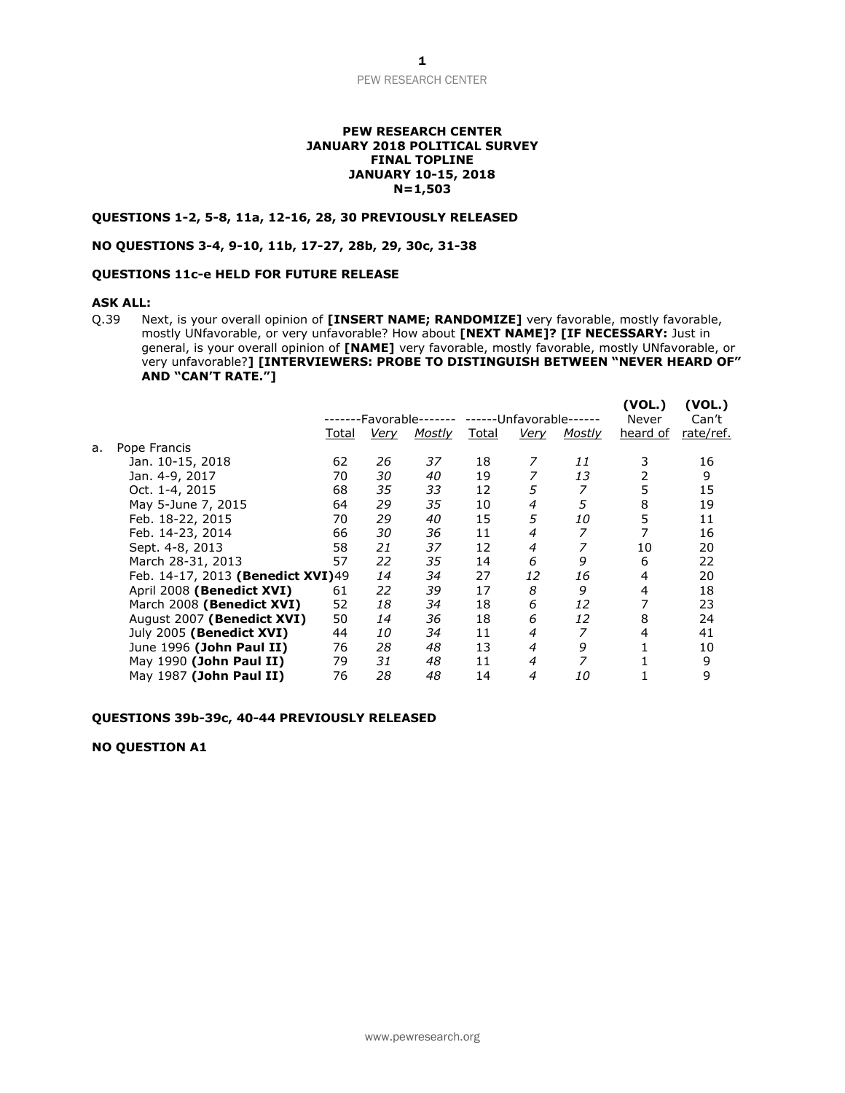### **PEW RESEARCH CENTER JANUARY 2018 POLITICAL SURVEY FINAL TOPLINE JANUARY 10-15, 2018 N=1,503**

# **QUESTIONS 1-2, 5-8, 11a, 12-16, 28, 30 PREVIOUSLY RELEASED**

## **NO QUESTIONS 3-4, 9-10, 11b, 17-27, 28b, 29, 30c, 31-38**

# **QUESTIONS 11c-e HELD FOR FUTURE RELEASE**

# **ASK ALL:**

Q.39 Next, is your overall opinion of **[INSERT NAME; RANDOMIZE]** very favorable, mostly favorable, mostly UNfavorable, or very unfavorable? How about **[NEXT NAME]? [IF NECESSARY:** Just in general, is your overall opinion of **[NAME]** very favorable, mostly favorable, mostly UNfavorable, or very unfavorable?**] [INTERVIEWERS: PROBE TO DISTINGUISH BETWEEN "NEVER HEARD OF" AND "CAN'T RATE."]**

|    |                                   |       | Favorable-  |        | ----  | -Unfavorable- |               | (VOL.)<br>Never | (VOL.)<br>Can't |
|----|-----------------------------------|-------|-------------|--------|-------|---------------|---------------|-----------------|-----------------|
|    |                                   | Total | <u>Very</u> | Mostly | Total | Very          | <b>Mostly</b> | heard of        | rate/ref.       |
| а. | Pope Francis                      |       |             |        |       |               |               |                 |                 |
|    | Jan. 10-15, 2018                  | 62    | 26          | 37     | 18    |               | 11            | 3               | 16              |
|    | Jan. 4-9, 2017                    | 70    | 30          | 40     | 19    |               | 13            | 2               | 9               |
|    | Oct. 1-4, 2015                    | 68    | 35          | 33     | 12    | 5             | 7             | 5               | 15              |
|    | May 5-June 7, 2015                | 64    | 29          | 35     | 10    | 4             | 5             | 8               | 19              |
|    | Feb. 18-22, 2015                  | 70    | 29          | 40     | 15    | 5             | 10            | 5               | 11              |
|    | Feb. 14-23, 2014                  | 66    | 30          | 36     | 11    | 4             | 7             |                 | 16              |
|    | Sept. 4-8, 2013                   | 58    | 21          | 37     | 12    | 4             | 7             | 10              | 20              |
|    | March 28-31, 2013                 | 57    | 22          | 35     | 14    | 6             | 9             | 6               | 22              |
|    | Feb. 14-17, 2013 (Benedict XVI)49 |       | 14          | 34     | 27    | 12            | 16            | 4               | 20              |
|    | April 2008 (Benedict XVI)         | 61    | 22          | 39     | 17    | 8             | 9             | 4               | 18              |
|    | March 2008 (Benedict XVI)         | 52    | 18          | 34     | 18    | 6             | 12            | 7               | 23              |
|    | August 2007 (Benedict XVI)        | 50    | 14          | 36     | 18    | 6             | 12            | 8               | 24              |
|    | July 2005 (Benedict XVI)          | 44    | 10          | 34     | 11    | 4             | 7             | 4               | 41              |
|    | June 1996 (John Paul II)          | 76    | 28          | 48     | 13    | 4             | 9             |                 | 10              |
|    | May 1990 (John Paul II)           | 79    | 31          | 48     | 11    | 4             | 7             |                 | 9               |
|    | May 1987 (John Paul II)           | 76    | 28          | 48     | 14    | 4             | 10            |                 | 9               |

#### **QUESTIONS 39b-39c, 40-44 PREVIOUSLY RELEASED**

# **NO QUESTION A1**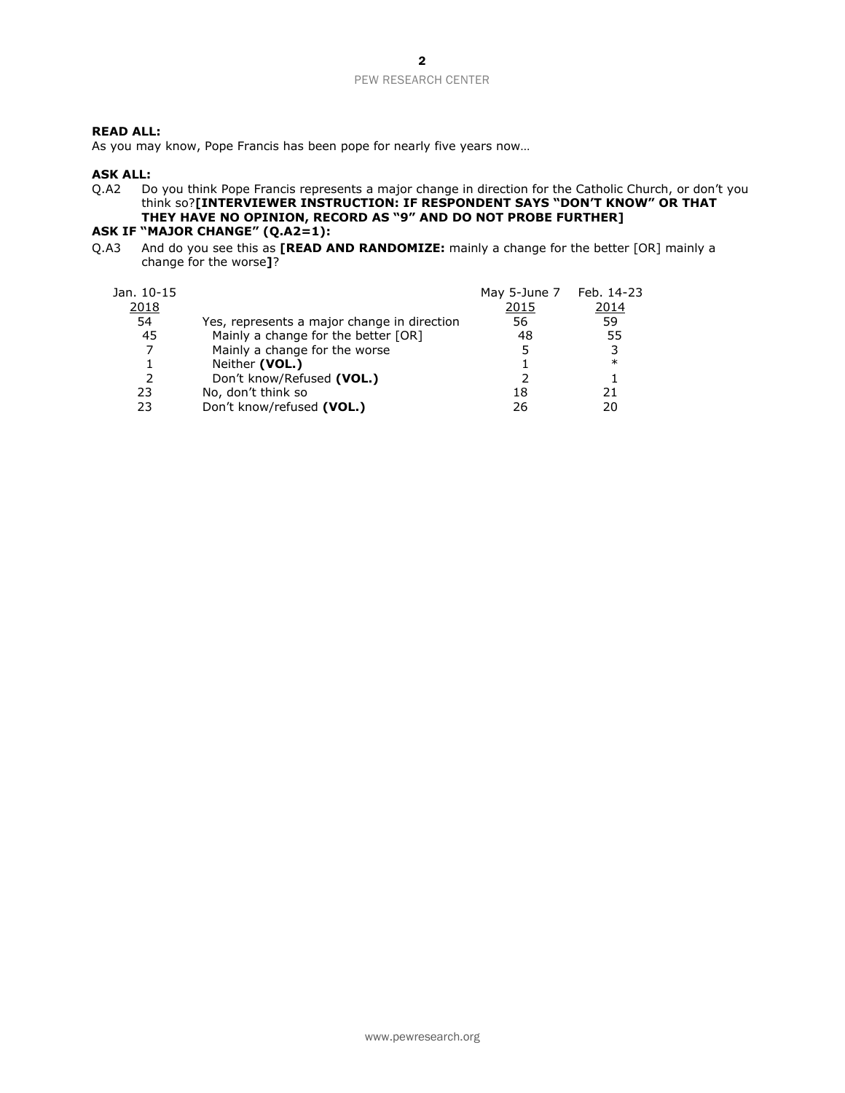# **READ ALL:**

As you may know, Pope Francis has been pope for nearly five years now…

# **ASK ALL:**

Q.A2 Do you think Pope Francis represents a major change in direction for the Catholic Church, or don't you think so?**[INTERVIEWER INSTRUCTION: IF RESPONDENT SAYS "DON'T KNOW" OR THAT THEY HAVE NO OPINION, RECORD AS "9" AND DO NOT PROBE FURTHER] ASK IF "MAJOR CHANGE" (Q.A2=1):**

Q.A3 And do you see this as **[READ AND RANDOMIZE:** mainly a change for the better [OR] mainly a change for the worse**]**?

| Jan. 10-15<br>2018<br>54 | Yes, represents a major change in direction | May 5-June 7 Feb. 14-23<br>2015<br>56 | 2014<br>59 |
|--------------------------|---------------------------------------------|---------------------------------------|------------|
| 45                       | Mainly a change for the better [OR]         | 48                                    | 55         |
| 7                        | Mainly a change for the worse               | 5                                     | 3          |
|                          | Neither (VOL.)                              |                                       | $\ast$     |
| 2                        | Don't know/Refused (VOL.)                   |                                       |            |
| 23                       | No, don't think so                          | 18                                    | 21         |
| 23                       | Don't know/refused (VOL.)                   | 26                                    | 20         |
|                          |                                             |                                       |            |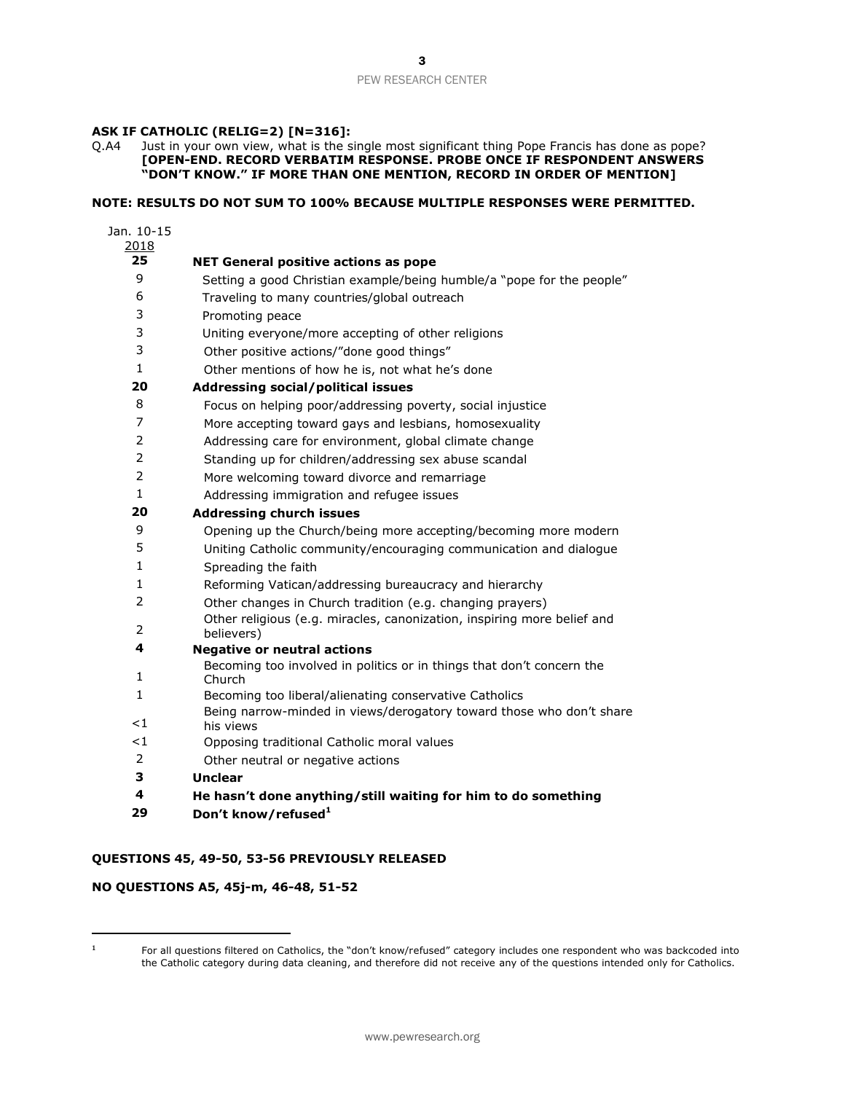# **ASK IF CATHOLIC (RELIG=2) [N=316]:**

Q.A4 Just in your own view, what is the single most significant thing Pope Francis has done as pope? **[OPEN-END. RECORD VERBATIM RESPONSE. PROBE ONCE IF RESPONDENT ANSWERS "DON'T KNOW." IF MORE THAN ONE MENTION, RECORD IN ORDER OF MENTION]**

# **NOTE: RESULTS DO NOT SUM TO 100% BECAUSE MULTIPLE RESPONSES WERE PERMITTED.**

| Jan. 10-15     |                                                                                                             |
|----------------|-------------------------------------------------------------------------------------------------------------|
| 2018           |                                                                                                             |
| 25             | <b>NET General positive actions as pope</b>                                                                 |
| 9              | Setting a good Christian example/being humble/a "pope for the people"                                       |
| 6              | Traveling to many countries/global outreach                                                                 |
| 3              | Promoting peace                                                                                             |
| 3              | Uniting everyone/more accepting of other religions                                                          |
| 3              | Other positive actions/"done good things"                                                                   |
| 1              | Other mentions of how he is, not what he's done                                                             |
| 20             | <b>Addressing social/political issues</b>                                                                   |
| 8              | Focus on helping poor/addressing poverty, social injustice                                                  |
| 7              | More accepting toward gays and lesbians, homosexuality                                                      |
| $\overline{2}$ | Addressing care for environment, global climate change                                                      |
| $\overline{2}$ | Standing up for children/addressing sex abuse scandal                                                       |
| 2              | More welcoming toward divorce and remarriage                                                                |
| $\mathbf{1}$   | Addressing immigration and refugee issues                                                                   |
| 20             | <b>Addressing church issues</b>                                                                             |
| 9              | Opening up the Church/being more accepting/becoming more modern                                             |
| 5              | Uniting Catholic community/encouraging communication and dialogue                                           |
| 1              | Spreading the faith                                                                                         |
| $\mathbf{1}$   | Reforming Vatican/addressing bureaucracy and hierarchy                                                      |
| $\overline{2}$ | Other changes in Church tradition (e.g. changing prayers)                                                   |
| 2              | Other religious (e.g. miracles, canonization, inspiring more belief and                                     |
| 4              | believers)                                                                                                  |
|                | <b>Negative or neutral actions</b><br>Becoming too involved in politics or in things that don't concern the |
| 1              | Church                                                                                                      |
| $\mathbf{1}$   | Becoming too liberal/alienating conservative Catholics                                                      |
|                | Being narrow-minded in views/derogatory toward those who don't share                                        |
| <1             | his views                                                                                                   |
| $\lt 1$        | Opposing traditional Catholic moral values                                                                  |
| 2              | Other neutral or negative actions                                                                           |
| з              | <b>Unclear</b>                                                                                              |
| 4              | He hasn't done anything/still waiting for him to do something                                               |
| 29             | Don't know/refused <sup>1</sup>                                                                             |

# **QUESTIONS 45, 49-50, 53-56 PREVIOUSLY RELEASED**

# **NO QUESTIONS A5, 45j-m, 46-48, 51-52**

 $\overline{a}$ 

 For all questions filtered on Catholics, the "don't know/refused" category includes one respondent who was backcoded into the Catholic category during data cleaning, and therefore did not receive any of the questions intended only for Catholics.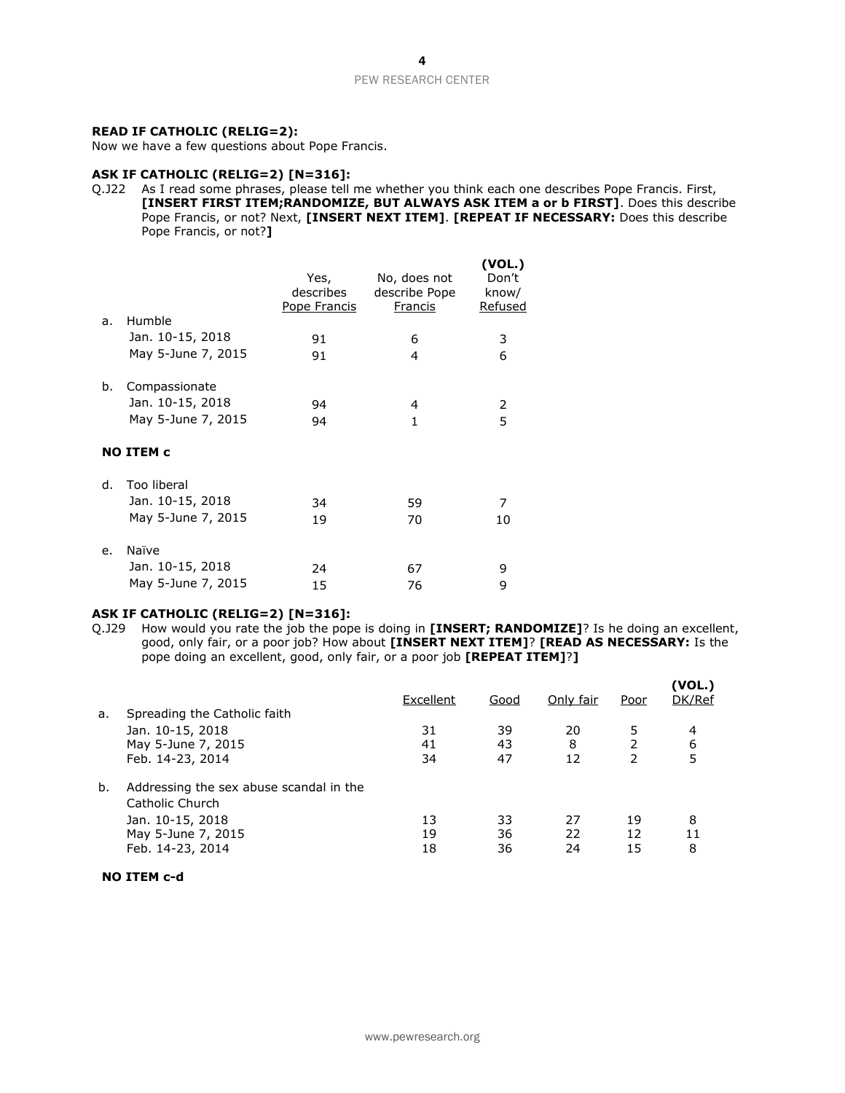## **READ IF CATHOLIC (RELIG=2):**

Now we have a few questions about Pope Francis.

# **ASK IF CATHOLIC (RELIG=2) [N=316]:**

Q.J22 As I read some phrases, please tell me whether you think each one describes Pope Francis. First, **[INSERT FIRST ITEM;RANDOMIZE, BUT ALWAYS ASK ITEM a or b FIRST]**. Does this describe Pope Francis, or not? Next, **[INSERT NEXT ITEM]**. **[REPEAT IF NECESSARY:** Does this describe Pope Francis, or not?**]**

| a. | Humble                            | Yes,<br>describes<br>Pope Francis | No, does not<br>describe Pope<br>Francis | (VOL.)<br>Don't<br>know/<br>Refused |
|----|-----------------------------------|-----------------------------------|------------------------------------------|-------------------------------------|
|    | Jan. 10-15, 2018                  | 91                                | 6                                        | 3                                   |
|    | May 5-June 7, 2015                |                                   |                                          |                                     |
|    |                                   | 91                                | 4                                        | 6                                   |
| b. | Compassionate<br>Jan. 10-15, 2018 | 94                                | 4                                        | 2                                   |
|    | May 5-June 7, 2015                | 94                                | 1                                        | 5                                   |
|    | <b>NO ITEM c</b>                  |                                   |                                          |                                     |
| d. | Too liberal                       |                                   |                                          |                                     |
|    | Jan. 10-15, 2018                  | 34                                | 59                                       | 7                                   |
|    | May 5-June 7, 2015                | 19                                | 70                                       | 10                                  |
|    |                                   |                                   |                                          |                                     |
| e. | Naïve                             |                                   |                                          |                                     |
|    | Jan. 10-15, 2018                  | 24                                | 67                                       | 9                                   |
|    | May 5-June 7, 2015                | 15                                | 76                                       | 9                                   |
|    |                                   |                                   |                                          |                                     |

# **ASK IF CATHOLIC (RELIG=2) [N=316]:**

Q.J29 How would you rate the job the pope is doing in **[INSERT; RANDOMIZE]**? Is he doing an excellent, good, only fair, or a poor job? How about **[INSERT NEXT ITEM]**? **[READ AS NECESSARY:** Is the pope doing an excellent, good, only fair, or a poor job **[REPEAT ITEM]**?**]**

| a. | Spreading the Catholic faith                                                                                             | Excellent      | Good           | Only fair      | Poor           | (VOL.)<br>DK/Ref |
|----|--------------------------------------------------------------------------------------------------------------------------|----------------|----------------|----------------|----------------|------------------|
|    | Jan. 10-15, 2018<br>May 5-June 7, 2015<br>Feb. 14-23, 2014                                                               | 31<br>41<br>34 | 39<br>43<br>47 | 20<br>8<br>12  | 5              | 4<br>6<br>5      |
| b. | Addressing the sex abuse scandal in the<br>Catholic Church<br>Jan. 10-15, 2018<br>May 5-June 7, 2015<br>Feb. 14-23, 2014 | 13<br>19<br>18 | 33<br>36<br>36 | 27<br>22<br>24 | 19<br>12<br>15 | 8<br>11<br>8     |

**NO ITEM c-d**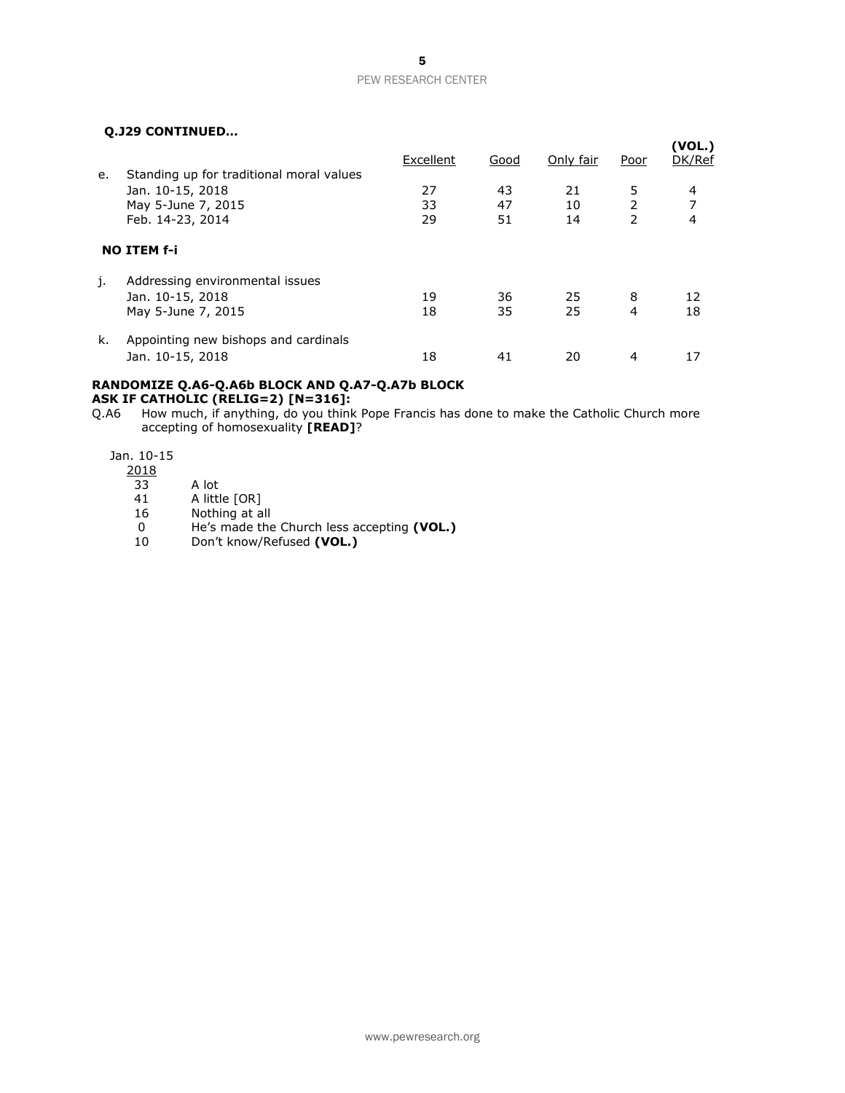# **Q.J29 CONTINUED…**

|    | VIJZJ LUNTINULDIII                       |           |      |           |               | (VOL.) |  |  |
|----|------------------------------------------|-----------|------|-----------|---------------|--------|--|--|
|    |                                          | Excellent | Good | Only fair | Poor          | DK/Ref |  |  |
| e. | Standing up for traditional moral values |           |      |           |               |        |  |  |
|    | Jan. 10-15, 2018                         | 27        | 43   | 21        | 5             | 4      |  |  |
|    | May 5-June 7, 2015                       | 33        | 47   | 10        | 2             | 7      |  |  |
|    | Feb. 14-23, 2014                         | 29        | 51   | 14        | $\mathcal{P}$ | 4      |  |  |
|    | <b>NO ITEM f-i</b>                       |           |      |           |               |        |  |  |
| j. | Addressing environmental issues          |           |      |           |               |        |  |  |
|    | Jan. 10-15, 2018                         | 19        | 36   | 25        | 8             | 12     |  |  |
|    | May 5-June 7, 2015                       | 18        | 35   | 25        | 4             | 18     |  |  |
| k. | Appointing new bishops and cardinals     |           |      |           |               |        |  |  |
|    | Jan. 10-15, 2018                         | 18        | 41   | 20        | 4             | 17     |  |  |

#### **RANDOMIZE Q.A6-Q.A6b BLOCK AND Q.A7-Q.A7b BLOCK ASK IF CATHOLIC (RELIG=2) [N=316]:**

Q.A6 How much, if anything, do you think Pope Francis has done to make the Catholic Church more accepting of homosexuality **[READ]**?

Jan. 10-15

- 2018
- 33 A lot
- 41 A little [OR]
- 16 Nothing at all
- 0 He's made the Church less accepting **(VOL.)**
- 10 Don't know/Refused **(VOL.)**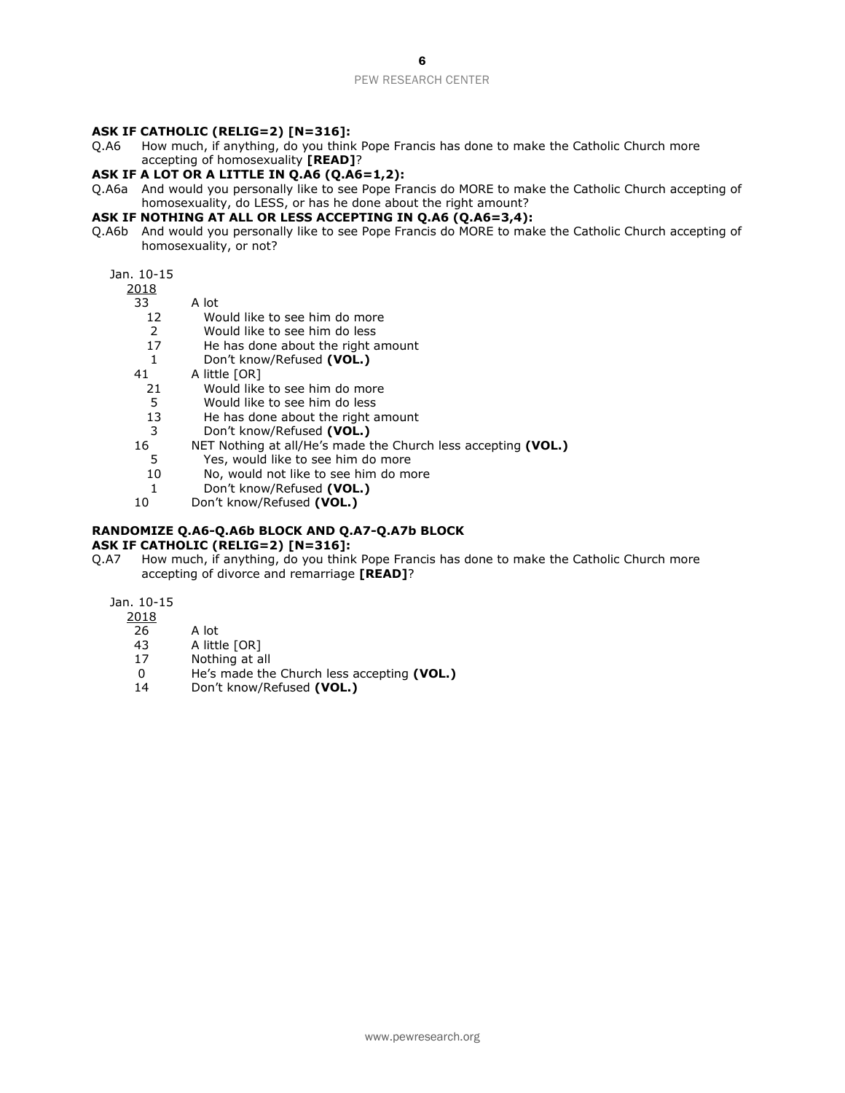### **ASK IF CATHOLIC (RELIG=2) [N=316]:**

Q.A6 How much, if anything, do you think Pope Francis has done to make the Catholic Church more accepting of homosexuality **[READ]**?

# **ASK IF A LOT OR A LITTLE IN Q.A6 (Q.A6=1,2):**

Q.A6a And would you personally like to see Pope Francis do MORE to make the Catholic Church accepting of homosexuality, do LESS, or has he done about the right amount?

## **ASK IF NOTHING AT ALL OR LESS ACCEPTING IN Q.A6 (Q.A6=3,4):**

Q.A6b And would you personally like to see Pope Francis do MORE to make the Catholic Church accepting of homosexuality, or not?

# Jan. 10-15

 $\frac{2018}{33}$ 

A lot

- 12 Would like to see him do more
- 2 Would like to see him do less<br>17 He has done about the right a
- He has done about the right amount
- 1 Don't know/Refused **(VOL.)**
- 41 A little [OR]
	- 21 Would like to see him do more
	- 5 Would like to see him do less<br>13 He has done about the right a
	- He has done about the right amount
	- 3 Don't know/Refused **(VOL.)**
- 16 NET Nothing at all/He's made the Church less accepting **(VOL.)**
	- 5 Yes, would like to see him do more
	- 10 No, would not like to see him do more
	- 1 Don't know/Refused **(VOL.)**
- 10 Don't know/Refused **(VOL.)**

# **RANDOMIZE Q.A6-Q.A6b BLOCK AND Q.A7-Q.A7b BLOCK**

# **ASK IF CATHOLIC (RELIG=2) [N=316]:**

Q.A7 How much, if anything, do you think Pope Francis has done to make the Catholic Church more accepting of divorce and remarriage **[READ]**?

# Jan. 10-15

2018

- 26 A lot
- 43 A little [OR]
- 17 Nothing at all
- 0 He's made the Church less accepting **(VOL.)**
- 14 Don't know/Refused **(VOL.)**